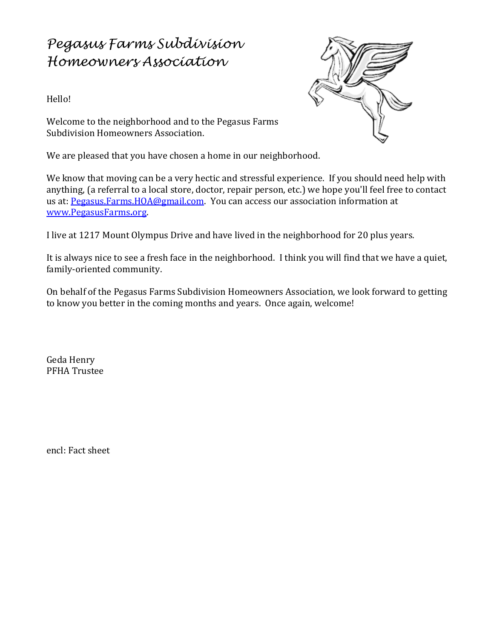## *Pegasus Farms Subdivision Homeowners Association*

Hello!



Welcome to the neighborhood and to the Pegasus Farms Subdivision Homeowners Association.

We are pleased that you have chosen a home in our neighborhood.

We know that moving can be a very hectic and stressful experience. If you should need help with anything, (a referral to a local store, doctor, repair person, etc.) we hope you'll feel free to contact us at: [Pegasus.Farms.HOA@gmail.com.](mailto:Pegasus.Farms.HOA@gmail.com?subject=Pegasus%20Farms%20New%20Homeowner) You can access our association information at [www.PegasusFarms](http://www.pegasusfarms.org/)**.**org.

I live at 1217 Mount Olympus Drive and have lived in the neighborhood for 20 plus years.

It is always nice to see a fresh face in the neighborhood. I think you will find that we have a quiet, family-oriented community.

On behalf of the Pegasus Farms Subdivision Homeowners Association, we look forward to getting to know you better in the coming months and years. Once again, welcome!

Geda Henry PFHA Trustee

encl: Fact sheet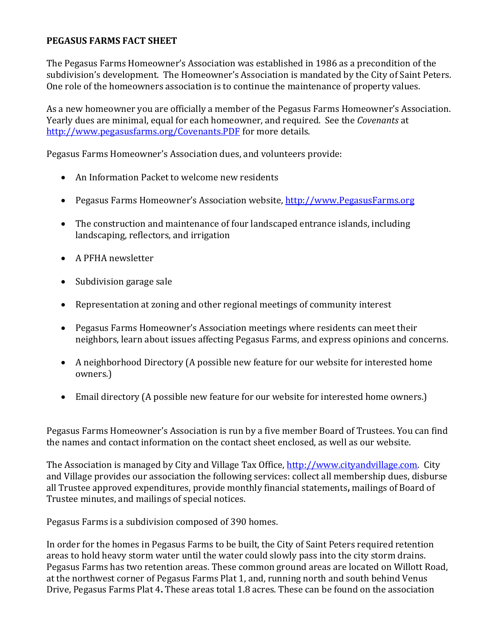## **PEGASUS FARMS FACT SHEET**

The Pegasus Farms Homeowner's Association was established in 1986 as a precondition of the subdivision's development. The Homeowner's Association is mandated by the City of Saint Peters. One role of the homeowners association is to continue the maintenance of property values.

As a new homeowner you are officially a member of the Pegasus Farms Homeowner's Association. Yearly dues are minimal, equal for each homeowner, and required. See the *Covenants* at <http://www.pegasusfarms.org/Covenants.PDF> for more details.

Pegasus Farms Homeowner's Association dues, and volunteers provide:

- An Information Packet to welcome new residents
- Pegasus Farms Homeowner's Association website, [http://www.PegasusFarms.org](http://www.pegasusfarms.org/)
- The construction and maintenance of four landscaped entrance islands, including landscaping, reflectors, and irrigation
- A PFHA newsletter
- Subdivision garage sale
- Representation at zoning and other regional meetings of community interest
- Pegasus Farms Homeowner's Association meetings where residents can meet their neighbors, learn about issues affecting Pegasus Farms, and express opinions and concerns.
- A neighborhood Directory (A possible new feature for our website for interested home owners.)
- Email directory (A possible new feature for our website for interested home owners.)

Pegasus Farms Homeowner's Association is run by a five member Board of Trustees. You can find the names and contact information on the contact sheet enclosed, as well as our website.

The Association is managed by City and Village Tax Office, [http://www.cityandvillage.com.](http://www.cityandvillage.com/) City and Village provides our association the following services: collect all membership dues, disburse all Trustee approved expenditures, provide monthly financial statements**,** mailings of Board of Trustee minutes, and mailings of special notices.

Pegasus Farms is a subdivision composed of 390 homes.

In order for the homes in Pegasus Farms to be built, the City of Saint Peters required retention areas to hold heavy storm water until the water could slowly pass into the city storm drains. Pegasus Farms has two retention areas. These common ground areas are located on Willott Road, at the northwest corner of Pegasus Farms Plat 1, and, running north and south behind Venus Drive, Pegasus Farms Plat 4**.** These areas total 1.8 acres. These can be found on the association